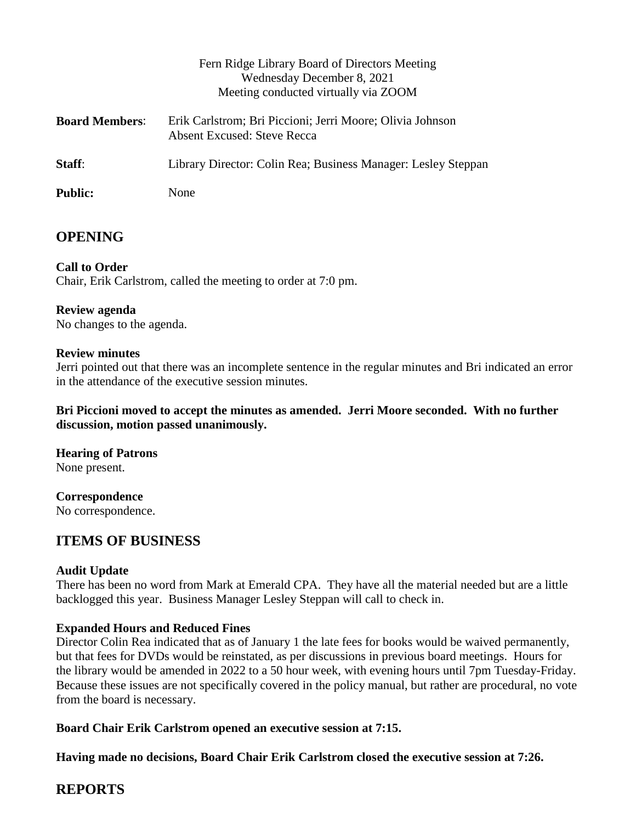|                       | Fern Ridge Library Board of Directors Meeting<br>Wednesday December 8, 2021<br>Meeting conducted virtually via ZOOM |
|-----------------------|---------------------------------------------------------------------------------------------------------------------|
| <b>Board Members:</b> | Erik Carlstrom; Bri Piccioni; Jerri Moore; Olivia Johnson<br>Absent Excused: Steve Recca                            |
| Staff:                | Library Director: Colin Rea; Business Manager: Lesley Steppan                                                       |
| <b>Public:</b>        | None                                                                                                                |

# **OPENING**

**Call to Order** Chair, Erik Carlstrom, called the meeting to order at 7:0 pm.

# **Review agenda**

No changes to the agenda.

## **Review minutes**

Jerri pointed out that there was an incomplete sentence in the regular minutes and Bri indicated an error in the attendance of the executive session minutes.

**Bri Piccioni moved to accept the minutes as amended. Jerri Moore seconded. With no further discussion, motion passed unanimously.**

**Hearing of Patrons** None present.

**Correspondence** No correspondence.

# **ITEMS OF BUSINESS**

## **Audit Update**

There has been no word from Mark at Emerald CPA. They have all the material needed but are a little backlogged this year. Business Manager Lesley Steppan will call to check in.

# **Expanded Hours and Reduced Fines**

Director Colin Rea indicated that as of January 1 the late fees for books would be waived permanently, but that fees for DVDs would be reinstated, as per discussions in previous board meetings. Hours for the library would be amended in 2022 to a 50 hour week, with evening hours until 7pm Tuesday-Friday. Because these issues are not specifically covered in the policy manual, but rather are procedural, no vote from the board is necessary.

# **Board Chair Erik Carlstrom opened an executive session at 7:15.**

**Having made no decisions, Board Chair Erik Carlstrom closed the executive session at 7:26.**

# **REPORTS**